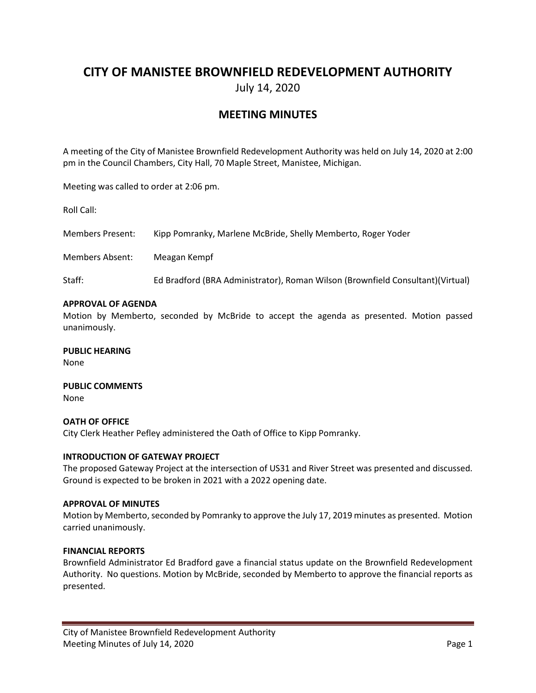# **CITY OF MANISTEE BROWNFIELD REDEVELOPMENT AUTHORITY**

July 14, 2020

## **MEETING MINUTES**

A meeting of the City of Manistee Brownfield Redevelopment Authority was held on July 14, 2020 at 2:00 pm in the Council Chambers, City Hall, 70 Maple Street, Manistee, Michigan.

Meeting was called to order at 2:06 pm.

Roll Call:

Members Present: Kipp Pomranky, Marlene McBride, Shelly Memberto, Roger Yoder

Members Absent: Meagan Kempf

Staff: Ed Bradford (BRA Administrator), Roman Wilson (Brownfield Consultant)(Virtual)

#### **APPROVAL OF AGENDA**

Motion by Memberto, seconded by McBride to accept the agenda as presented. Motion passed unanimously.

**PUBLIC HEARING** None

**PUBLIC COMMENTS** None

## **OATH OF OFFICE** City Clerk Heather Pefley administered the Oath of Office to Kipp Pomranky.

#### **INTRODUCTION OF GATEWAY PROJECT**

The proposed Gateway Project at the intersection of US31 and River Street was presented and discussed. Ground is expected to be broken in 2021 with a 2022 opening date.

#### **APPROVAL OF MINUTES**

Motion by Memberto, seconded by Pomranky to approve the July 17, 2019 minutes as presented. Motion carried unanimously.

#### **FINANCIAL REPORTS**

Brownfield Administrator Ed Bradford gave a financial status update on the Brownfield Redevelopment Authority. No questions. Motion by McBride, seconded by Memberto to approve the financial reports as presented.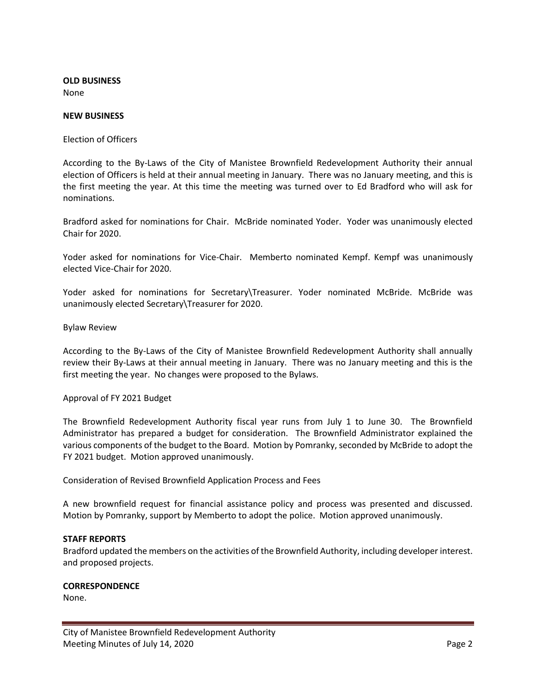**OLD BUSINESS** None

#### **NEW BUSINESS**

Election of Officers

According to the By-Laws of the City of Manistee Brownfield Redevelopment Authority their annual election of Officers is held at their annual meeting in January. There was no January meeting, and this is the first meeting the year. At this time the meeting was turned over to Ed Bradford who will ask for nominations.

Bradford asked for nominations for Chair. McBride nominated Yoder. Yoder was unanimously elected Chair for 2020.

Yoder asked for nominations for Vice-Chair. Memberto nominated Kempf. Kempf was unanimously elected Vice-Chair for 2020.

Yoder asked for nominations for Secretary\Treasurer. Yoder nominated McBride. McBride was unanimously elected Secretary\Treasurer for 2020.

Bylaw Review

According to the By-Laws of the City of Manistee Brownfield Redevelopment Authority shall annually review their By-Laws at their annual meeting in January. There was no January meeting and this is the first meeting the year. No changes were proposed to the Bylaws.

Approval of FY 2021 Budget

The Brownfield Redevelopment Authority fiscal year runs from July 1 to June 30. The Brownfield Administrator has prepared a budget for consideration. The Brownfield Administrator explained the various components of the budget to the Board. Motion by Pomranky, seconded by McBride to adopt the FY 2021 budget. Motion approved unanimously.

Consideration of Revised Brownfield Application Process and Fees

A new brownfield request for financial assistance policy and process was presented and discussed. Motion by Pomranky, support by Memberto to adopt the police. Motion approved unanimously.

#### **STAFF REPORTS**

Bradford updated the members on the activities of the Brownfield Authority, including developer interest. and proposed projects.

#### **CORRESPONDENCE**

None.